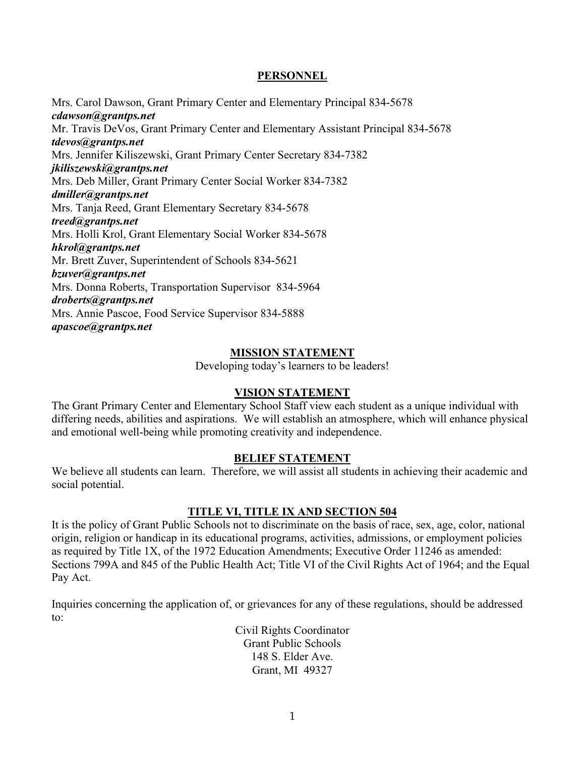## **PERSONNEL**

Mrs. Carol Dawson, Grant Primary Center and Elementary Principal 834-5678 *cdawson@grantps.net* Mr. Travis DeVos, Grant Primary Center and Elementary Assistant Principal 834-5678 *tdevos@grantps.net* Mrs. Jennifer Kiliszewski, Grant Primary Center Secretary 834-7382 *jkiliszewski@grantps.net* Mrs. Deb Miller, Grant Primary Center Social Worker 834-7382 *dmiller@grantps.net* Mrs. Tanja Reed, Grant Elementary Secretary 834-5678 *treed@grantps.net* Mrs. Holli Krol, Grant Elementary Social Worker 834-5678 *hkrol@grantps.net* Mr. Brett Zuver, Superintendent of Schools 834-5621 *bzuver@grantps.net* Mrs. Donna Roberts, Transportation Supervisor 834-5964 *droberts@grantps.net* Mrs. Annie Pascoe, Food Service Supervisor 834-5888 *apascoe@grantps.net*

## **MISSION STATEMENT**

Developing today's learners to be leaders!

## **VISION STATEMENT**

The Grant Primary Center and Elementary School Staff view each student as a unique individual with differing needs, abilities and aspirations. We will establish an atmosphere, which will enhance physical and emotional well-being while promoting creativity and independence.

## **BELIEF STATEMENT**

We believe all students can learn. Therefore, we will assist all students in achieving their academic and social potential.

## **TITLE VI, TITLE IX AND SECTION 504**

It is the policy of Grant Public Schools not to discriminate on the basis of race, sex, age, color, national origin, religion or handicap in its educational programs, activities, admissions, or employment policies as required by Title 1X, of the 1972 Education Amendments; Executive Order 11246 as amended: Sections 799A and 845 of the Public Health Act; Title VI of the Civil Rights Act of 1964; and the Equal Pay Act.

Inquiries concerning the application of, or grievances for any of these regulations, should be addressed to:

> Civil Rights Coordinator Grant Public Schools 148 S. Elder Ave. Grant, MI 49327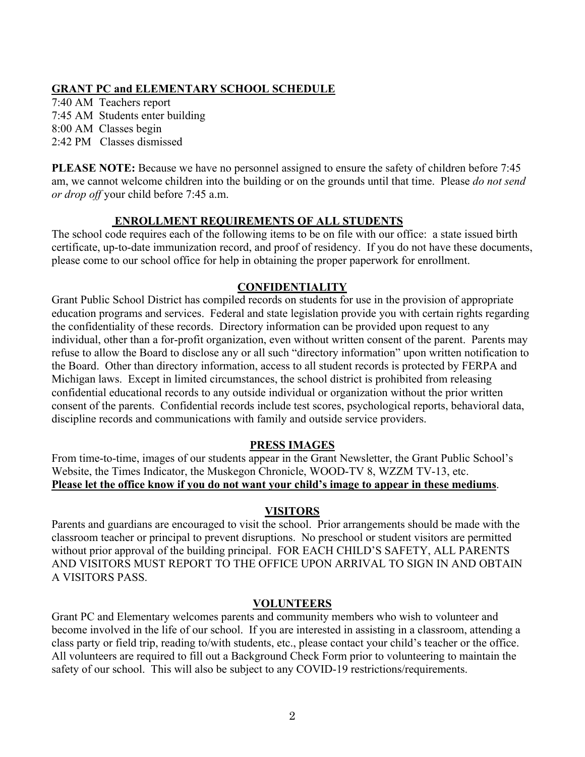## **GRANT PC and ELEMENTARY SCHOOL SCHEDULE**

7:40 AM Teachers report 7:45 AM Students enter building 8:00 AM Classes begin 2:42 PM Classes dismissed

**PLEASE NOTE:** Because we have no personnel assigned to ensure the safety of children before 7:45 am, we cannot welcome children into the building or on the grounds until that time. Please *do not send or drop off* your child before 7:45 a.m.

## **ENROLLMENT REQUIREMENTS OF ALL STUDENTS**

The school code requires each of the following items to be on file with our office: a state issued birth certificate, up-to-date immunization record, and proof of residency. If you do not have these documents, please come to our school office for help in obtaining the proper paperwork for enrollment.

## **CONFIDENTIALITY**

Grant Public School District has compiled records on students for use in the provision of appropriate education programs and services. Federal and state legislation provide you with certain rights regarding the confidentiality of these records. Directory information can be provided upon request to any individual, other than a for-profit organization, even without written consent of the parent. Parents may refuse to allow the Board to disclose any or all such "directory information" upon written notification to the Board. Other than directory information, access to all student records is protected by FERPA and Michigan laws. Except in limited circumstances, the school district is prohibited from releasing confidential educational records to any outside individual or organization without the prior written consent of the parents. Confidential records include test scores, psychological reports, behavioral data, discipline records and communications with family and outside service providers.

## **PRESS IMAGES**

From time-to-time, images of our students appear in the Grant Newsletter, the Grant Public School's Website, the Times Indicator, the Muskegon Chronicle, WOOD-TV 8, WZZM TV-13, etc. **Please let the office know if you do not want your child's image to appear in these mediums**.

## **VISITORS**

Parents and guardians are encouraged to visit the school. Prior arrangements should be made with the classroom teacher or principal to prevent disruptions. No preschool or student visitors are permitted without prior approval of the building principal. FOR EACH CHILD'S SAFETY, ALL PARENTS AND VISITORS MUST REPORT TO THE OFFICE UPON ARRIVAL TO SIGN IN AND OBTAIN A VISITORS PASS.

## **VOLUNTEERS**

Grant PC and Elementary welcomes parents and community members who wish to volunteer and become involved in the life of our school. If you are interested in assisting in a classroom, attending a class party or field trip, reading to/with students, etc., please contact your child's teacher or the office. All volunteers are required to fill out a Background Check Form prior to volunteering to maintain the safety of our school. This will also be subject to any COVID-19 restrictions/requirements.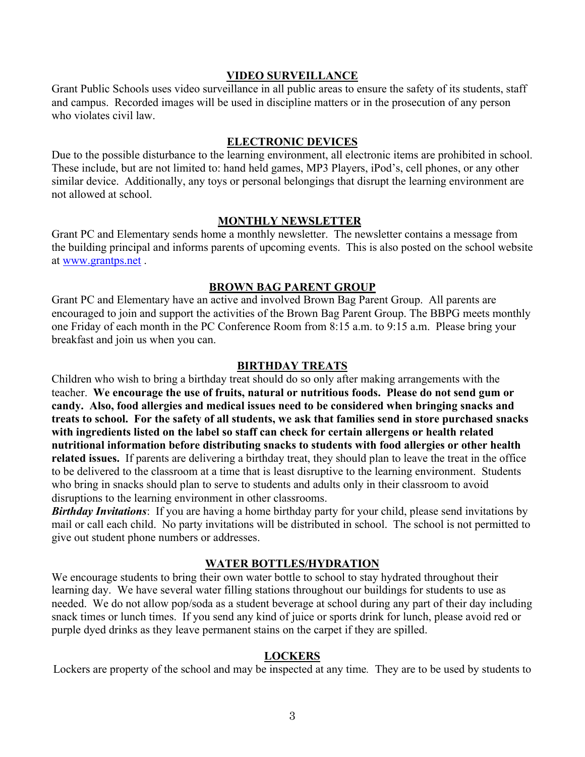### **VIDEO SURVEILLANCE**

Grant Public Schools uses video surveillance in all public areas to ensure the safety of its students, staff and campus. Recorded images will be used in discipline matters or in the prosecution of any person who violates civil law.

## **ELECTRONIC DEVICES**

Due to the possible disturbance to the learning environment, all electronic items are prohibited in school. These include, but are not limited to: hand held games, MP3 Players, iPod's, cell phones, or any other similar device. Additionally, any toys or personal belongings that disrupt the learning environment are not allowed at school.

### **MONTHLY NEWSLETTER**

Grant PC and Elementary sends home a monthly newsletter. The newsletter contains a message from the building principal and informs parents of upcoming events. This is also posted on the school website at www.grantps.net .

### **BROWN BAG PARENT GROUP**

Grant PC and Elementary have an active and involved Brown Bag Parent Group. All parents are encouraged to join and support the activities of the Brown Bag Parent Group. The BBPG meets monthly one Friday of each month in the PC Conference Room from 8:15 a.m. to 9:15 a.m. Please bring your breakfast and join us when you can.

### **BIRTHDAY TREATS**

Children who wish to bring a birthday treat should do so only after making arrangements with the teacher. **We encourage the use of fruits, natural or nutritious foods. Please do not send gum or candy. Also, food allergies and medical issues need to be considered when bringing snacks and treats to school. For the safety of all students, we ask that families send in store purchased snacks with ingredients listed on the label so staff can check for certain allergens or health related nutritional information before distributing snacks to students with food allergies or other health related issues.** If parents are delivering a birthday treat, they should plan to leave the treat in the office to be delivered to the classroom at a time that is least disruptive to the learning environment. Students who bring in snacks should plan to serve to students and adults only in their classroom to avoid disruptions to the learning environment in other classrooms.

*Birthday Invitations*: If you are having a home birthday party for your child, please send invitations by mail or call each child. No party invitations will be distributed in school. The school is not permitted to give out student phone numbers or addresses.

### **WATER BOTTLES/HYDRATION**

We encourage students to bring their own water bottle to school to stay hydrated throughout their learning day. We have several water filling stations throughout our buildings for students to use as needed. We do not allow pop/soda as a student beverage at school during any part of their day including snack times or lunch times. If you send any kind of juice or sports drink for lunch, please avoid red or purple dyed drinks as they leave permanent stains on the carpet if they are spilled.

### **LOCKERS**

Lockers are property of the school and may be inspected at any time*.* They are to be used by students to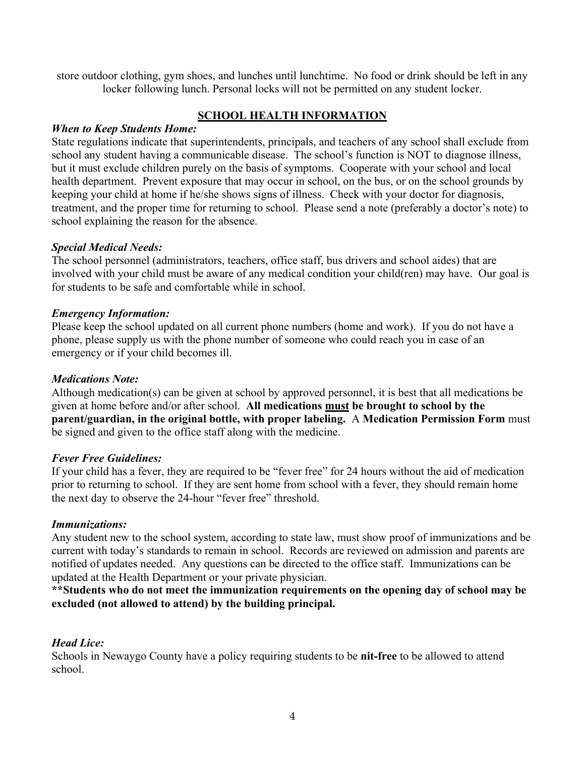store outdoor clothing, gym shoes, and lunches until lunchtime. No food or drink should be left in any locker following lunch. Personal locks will not be permitted on any student locker.

## **SCHOOL HEALTH INFORMATION**

## *When to Keep Students Home:*

State regulations indicate that superintendents, principals, and teachers of any school shall exclude from school any student having a communicable disease. The school's function is NOT to diagnose illness, but it must exclude children purely on the basis of symptoms. Cooperate with your school and local health department. Prevent exposure that may occur in school, on the bus, or on the school grounds by keeping your child at home if he/she shows signs of illness. Check with your doctor for diagnosis, treatment, and the proper time for returning to school. Please send a note (preferably a doctor's note) to school explaining the reason for the absence.

## *Special Medical Needs:*

The school personnel (administrators, teachers, office staff, bus drivers and school aides) that are involved with your child must be aware of any medical condition your child(ren) may have. Our goal is for students to be safe and comfortable while in school.

## *Emergency Information:*

Please keep the school updated on all current phone numbers (home and work). If you do not have a phone, please supply us with the phone number of someone who could reach you in case of an emergency or if your child becomes ill.

## *Medications Note:*

Although medication(s) can be given at school by approved personnel, it is best that all medications be given at home before and/or after school. **All medications must be brought to school by the parent/guardian, in the original bottle, with proper labeling.** A **Medication Permission Form** must be signed and given to the office staff along with the medicine.

## *Fever Free Guidelines:*

If your child has a fever, they are required to be "fever free" for 24 hours without the aid of medication prior to returning to school. If they are sent home from school with a fever, they should remain home the next day to observe the 24-hour "fever free" threshold.

## *Immunizations:*

Any student new to the school system, according to state law, must show proof of immunizations and be current with today's standards to remain in school. Records are reviewed on admission and parents are notified of updates needed. Any questions can be directed to the office staff. Immunizations can be updated at the Health Department or your private physician.

**\*\*Students who do not meet the immunization requirements on the opening day of school may be excluded (not allowed to attend) by the building principal.**

## *Head Lice:*

Schools in Newaygo County have a policy requiring students to be **nit-free** to be allowed to attend school.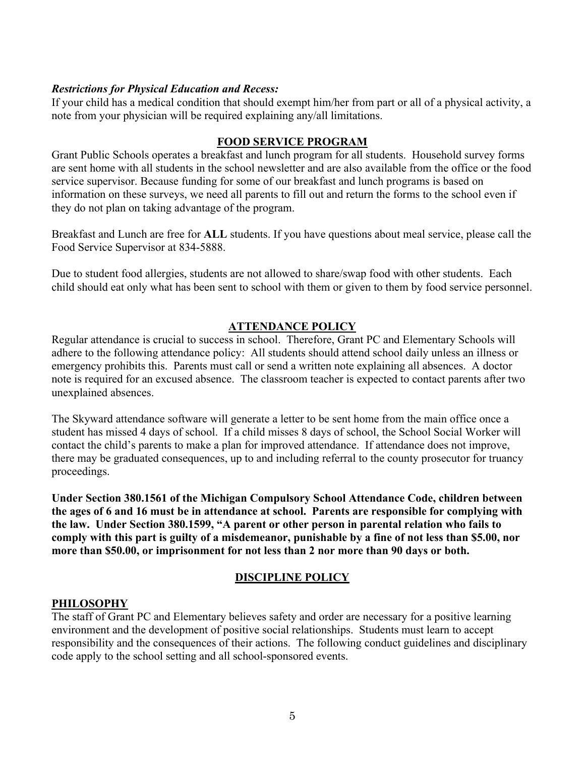## *Restrictions for Physical Education and Recess:*

If your child has a medical condition that should exempt him/her from part or all of a physical activity, a note from your physician will be required explaining any/all limitations.

## **FOOD SERVICE PROGRAM**

Grant Public Schools operates a breakfast and lunch program for all students. Household survey forms are sent home with all students in the school newsletter and are also available from the office or the food service supervisor. Because funding for some of our breakfast and lunch programs is based on information on these surveys, we need all parents to fill out and return the forms to the school even if they do not plan on taking advantage of the program.

Breakfast and Lunch are free for **ALL** students. If you have questions about meal service, please call the Food Service Supervisor at 834-5888.

Due to student food allergies, students are not allowed to share/swap food with other students. Each child should eat only what has been sent to school with them or given to them by food service personnel.

## **ATTENDANCE POLICY**

Regular attendance is crucial to success in school. Therefore, Grant PC and Elementary Schools will adhere to the following attendance policy: All students should attend school daily unless an illness or emergency prohibits this. Parents must call or send a written note explaining all absences. A doctor note is required for an excused absence. The classroom teacher is expected to contact parents after two unexplained absences.

The Skyward attendance software will generate a letter to be sent home from the main office once a student has missed 4 days of school. If a child misses 8 days of school, the School Social Worker will contact the child's parents to make a plan for improved attendance. If attendance does not improve, there may be graduated consequences, up to and including referral to the county prosecutor for truancy proceedings.

**Under Section 380.1561 of the Michigan Compulsory School Attendance Code, children between the ages of 6 and 16 must be in attendance at school. Parents are responsible for complying with the law. Under Section 380.1599, "A parent or other person in parental relation who fails to comply with this part is guilty of a misdemeanor, punishable by a fine of not less than \$5.00, nor more than \$50.00, or imprisonment for not less than 2 nor more than 90 days or both.**

## **DISCIPLINE POLICY**

## **PHILOSOPHY**

The staff of Grant PC and Elementary believes safety and order are necessary for a positive learning environment and the development of positive social relationships. Students must learn to accept responsibility and the consequences of their actions. The following conduct guidelines and disciplinary code apply to the school setting and all school-sponsored events.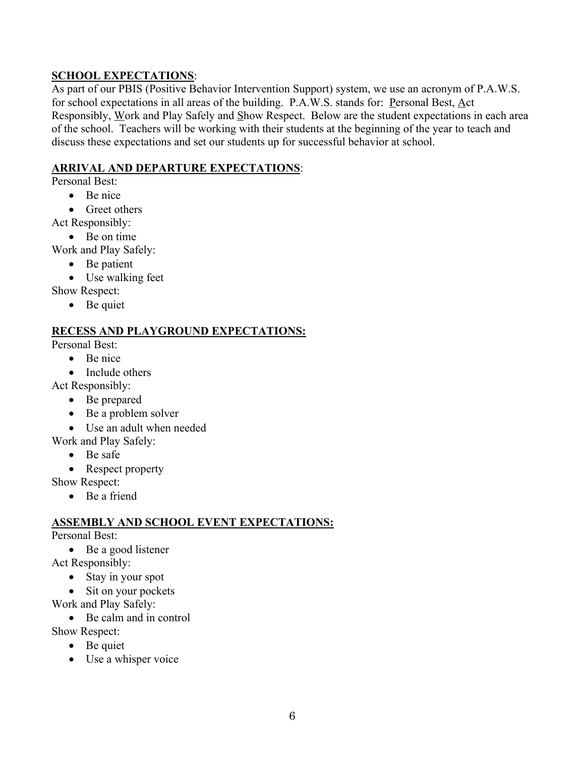# **SCHOOL EXPECTATIONS**:

As part of our PBIS (Positive Behavior Intervention Support) system, we use an acronym of P.A.W.S. for school expectations in all areas of the building. P.A.W.S. stands for: Personal Best, Act Responsibly, Work and Play Safely and Show Respect. Below are the student expectations in each area of the school. Teachers will be working with their students at the beginning of the year to teach and discuss these expectations and set our students up for successful behavior at school.

# **ARRIVAL AND DEPARTURE EXPECTATIONS**:

Personal Best:

- Be nice
- Greet others

Act Responsibly:

- Be on time
- Work and Play Safely:
	- Be patient
	- Use walking feet

Show Respect:

• Be quiet

# **RECESS AND PLAYGROUND EXPECTATIONS:**

Personal Best:

- Be nice
- Include others

Act Responsibly:

- Be prepared
- Be a problem solver
- Use an adult when needed

Work and Play Safely:

- Be safe
- Respect property

Show Respect:

• Be a friend

# **ASSEMBLY AND SCHOOL EVENT EXPECTATIONS:**

## Personal Best:

• Be a good listener

- Act Responsibly:
	- Stay in your spot
	- Sit on your pockets
- Work and Play Safely:
	- Be calm and in control
- Show Respect:
	- Be quiet
	- Use a whisper voice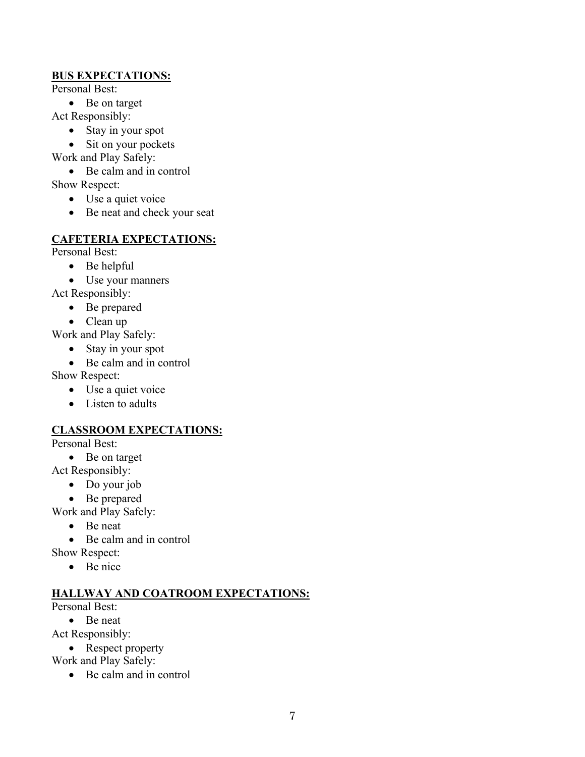## **BUS EXPECTATIONS:**

Personal Best:

• Be on target

Act Responsibly:

- Stay in your spot
- Sit on your pockets

Work and Play Safely:

• Be calm and in control

Show Respect:

- Use a quiet voice
- Be neat and check your seat

# **CAFETERIA EXPECTATIONS:**

Personal Best:

- Be helpful
- Use your manners

Act Responsibly:

- Be prepared
- Clean up

Work and Play Safely:

- Stay in your spot
- Be calm and in control

Show Respect:

- Use a quiet voice
- Listen to adults

# **CLASSROOM EXPECTATIONS:**

Personal Best:

- Be on target
- Act Responsibly:
	- Do your job
	- Be prepared

Work and Play Safely:

- Be neat
- Be calm and in control

Show Respect:

• Be nice

## **HALLWAY AND COATROOM EXPECTATIONS:**

Personal Best:

• Be neat

Act Responsibly:

• Respect property

Work and Play Safely:

• Be calm and in control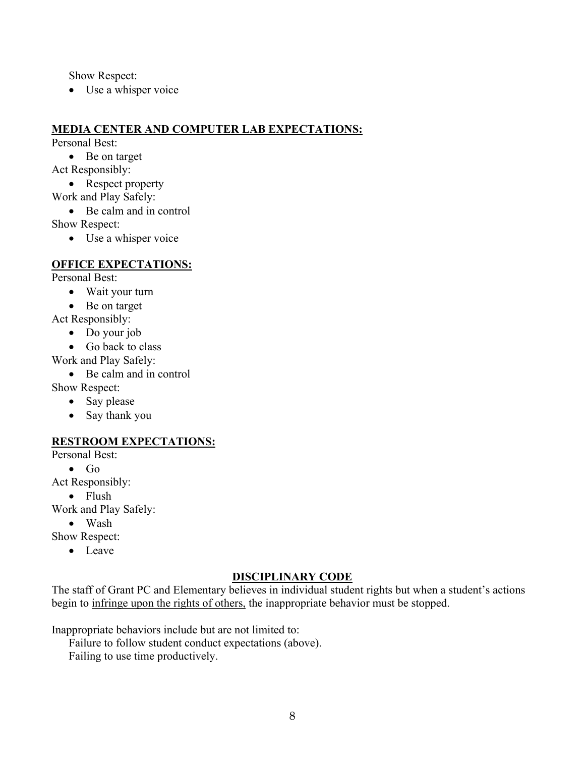Show Respect:

• Use a whisper voice

## **MEDIA CENTER AND COMPUTER LAB EXPECTATIONS:**

Personal Best:

• Be on target

Act Responsibly:

• Respect property

Work and Play Safely:

• Be calm and in control

Show Respect:

• Use a whisper voice

## **OFFICE EXPECTATIONS:**

Personal Best:

- Wait your turn
- Be on target

Act Responsibly:

- Do your job
- Go back to class
- Work and Play Safely:
	- Be calm and in control

Show Respect:

- Say please
- Say thank you

## **RESTROOM EXPECTATIONS:**

Personal Best:

• Go

Act Responsibly:

• Flush

Work and Play Safely:

• Wash

Show Respect:

• Leave

## **DISCIPLINARY CODE**

The staff of Grant PC and Elementary believes in individual student rights but when a student's actions begin to infringe upon the rights of others, the inappropriate behavior must be stopped.

Inappropriate behaviors include but are not limited to:

Failure to follow student conduct expectations (above).

Failing to use time productively.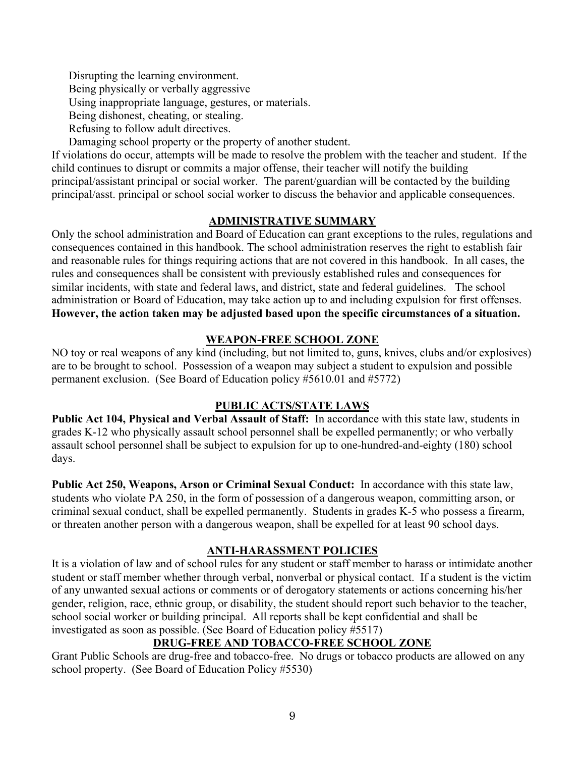Disrupting the learning environment.

Being physically or verbally aggressive

Using inappropriate language, gestures, or materials.

Being dishonest, cheating, or stealing.

Refusing to follow adult directives.

Damaging school property or the property of another student.

If violations do occur, attempts will be made to resolve the problem with the teacher and student. If the child continues to disrupt or commits a major offense, their teacher will notify the building principal/assistant principal or social worker. The parent/guardian will be contacted by the building principal/asst. principal or school social worker to discuss the behavior and applicable consequences.

## **ADMINISTRATIVE SUMMARY**

Only the school administration and Board of Education can grant exceptions to the rules, regulations and consequences contained in this handbook. The school administration reserves the right to establish fair and reasonable rules for things requiring actions that are not covered in this handbook. In all cases, the rules and consequences shall be consistent with previously established rules and consequences for similar incidents, with state and federal laws, and district, state and federal guidelines. The school administration or Board of Education, may take action up to and including expulsion for first offenses. **However, the action taken may be adjusted based upon the specific circumstances of a situation.**

# **WEAPON-FREE SCHOOL ZONE**

NO toy or real weapons of any kind (including, but not limited to, guns, knives, clubs and/or explosives) are to be brought to school. Possession of a weapon may subject a student to expulsion and possible permanent exclusion. (See Board of Education policy #5610.01 and #5772)

## **PUBLIC ACTS/STATE LAWS**

**Public Act 104, Physical and Verbal Assault of Staff:** In accordance with this state law, students in grades K-12 who physically assault school personnel shall be expelled permanently; or who verbally assault school personnel shall be subject to expulsion for up to one-hundred-and-eighty (180) school days.

**Public Act 250, Weapons, Arson or Criminal Sexual Conduct:** In accordance with this state law, students who violate PA 250, in the form of possession of a dangerous weapon, committing arson, or criminal sexual conduct, shall be expelled permanently. Students in grades K-5 who possess a firearm, or threaten another person with a dangerous weapon, shall be expelled for at least 90 school days.

## **ANTI-HARASSMENT POLICIES**

It is a violation of law and of school rules for any student or staff member to harass or intimidate another student or staff member whether through verbal, nonverbal or physical contact. If a student is the victim of any unwanted sexual actions or comments or of derogatory statements or actions concerning his/her gender, religion, race, ethnic group, or disability, the student should report such behavior to the teacher, school social worker or building principal. All reports shall be kept confidential and shall be investigated as soon as possible. (See Board of Education policy #5517)

# **DRUG-FREE AND TOBACCO-FREE SCHOOL ZONE**

Grant Public Schools are drug-free and tobacco-free. No drugs or tobacco products are allowed on any school property. (See Board of Education Policy #5530)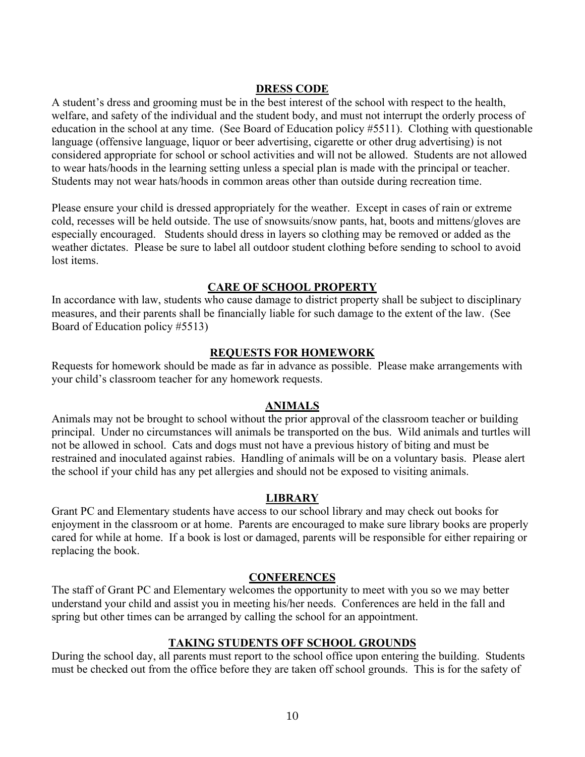### **DRESS CODE**

A student's dress and grooming must be in the best interest of the school with respect to the health, welfare, and safety of the individual and the student body, and must not interrupt the orderly process of education in the school at any time. (See Board of Education policy #5511). Clothing with questionable language (offensive language, liquor or beer advertising, cigarette or other drug advertising) is not considered appropriate for school or school activities and will not be allowed. Students are not allowed to wear hats/hoods in the learning setting unless a special plan is made with the principal or teacher. Students may not wear hats/hoods in common areas other than outside during recreation time.

Please ensure your child is dressed appropriately for the weather. Except in cases of rain or extreme cold, recesses will be held outside. The use of snowsuits/snow pants, hat, boots and mittens/gloves are especially encouraged. Students should dress in layers so clothing may be removed or added as the weather dictates. Please be sure to label all outdoor student clothing before sending to school to avoid lost items.

### **CARE OF SCHOOL PROPERTY**

In accordance with law, students who cause damage to district property shall be subject to disciplinary measures, and their parents shall be financially liable for such damage to the extent of the law. (See Board of Education policy #5513)

### **REQUESTS FOR HOMEWORK**

Requests for homework should be made as far in advance as possible. Please make arrangements with your child's classroom teacher for any homework requests.

### **ANIMALS**

Animals may not be brought to school without the prior approval of the classroom teacher or building principal. Under no circumstances will animals be transported on the bus. Wild animals and turtles will not be allowed in school. Cats and dogs must not have a previous history of biting and must be restrained and inoculated against rabies. Handling of animals will be on a voluntary basis. Please alert the school if your child has any pet allergies and should not be exposed to visiting animals.

#### **LIBRARY**

Grant PC and Elementary students have access to our school library and may check out books for enjoyment in the classroom or at home. Parents are encouraged to make sure library books are properly cared for while at home. If a book is lost or damaged, parents will be responsible for either repairing or replacing the book.

#### **CONFERENCES**

The staff of Grant PC and Elementary welcomes the opportunity to meet with you so we may better understand your child and assist you in meeting his/her needs. Conferences are held in the fall and spring but other times can be arranged by calling the school for an appointment.

### **TAKING STUDENTS OFF SCHOOL GROUNDS**

During the school day, all parents must report to the school office upon entering the building. Students must be checked out from the office before they are taken off school grounds. This is for the safety of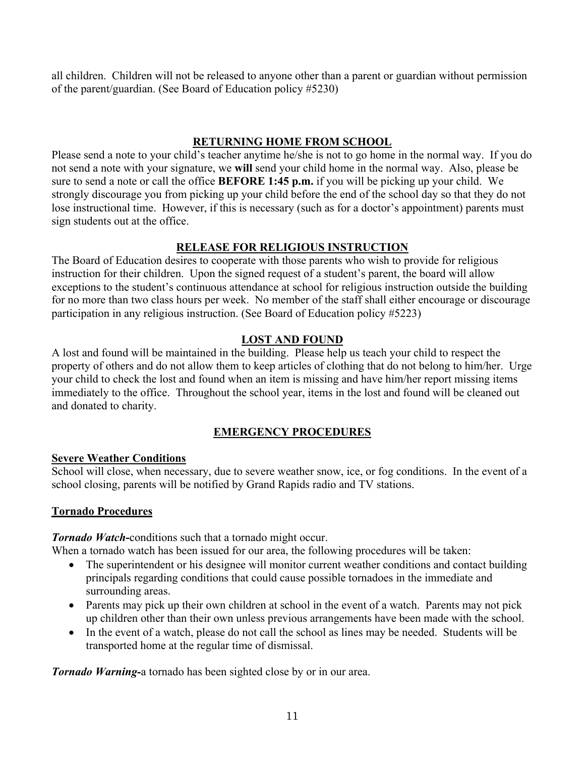all children. Children will not be released to anyone other than a parent or guardian without permission of the parent/guardian. (See Board of Education policy #5230)

# **RETURNING HOME FROM SCHOOL**

Please send a note to your child's teacher anytime he/she is not to go home in the normal way. If you do not send a note with your signature, we **will** send your child home in the normal way. Also, please be sure to send a note or call the office **BEFORE 1:45 p.m.** if you will be picking up your child. We strongly discourage you from picking up your child before the end of the school day so that they do not lose instructional time. However, if this is necessary (such as for a doctor's appointment) parents must sign students out at the office.

# **RELEASE FOR RELIGIOUS INSTRUCTION**

The Board of Education desires to cooperate with those parents who wish to provide for religious instruction for their children. Upon the signed request of a student's parent, the board will allow exceptions to the student's continuous attendance at school for religious instruction outside the building for no more than two class hours per week. No member of the staff shall either encourage or discourage participation in any religious instruction. (See Board of Education policy #5223)

# **LOST AND FOUND**

A lost and found will be maintained in the building. Please help us teach your child to respect the property of others and do not allow them to keep articles of clothing that do not belong to him/her. Urge your child to check the lost and found when an item is missing and have him/her report missing items immediately to the office. Throughout the school year, items in the lost and found will be cleaned out and donated to charity.

# **EMERGENCY PROCEDURES**

## **Severe Weather Conditions**

School will close, when necessary, due to severe weather snow, ice, or fog conditions. In the event of a school closing, parents will be notified by Grand Rapids radio and TV stations.

## **Tornado Procedures**

*Tornado Watch***-**conditions such that a tornado might occur.

When a tornado watch has been issued for our area, the following procedures will be taken:

- The superintendent or his designee will monitor current weather conditions and contact building principals regarding conditions that could cause possible tornadoes in the immediate and surrounding areas.
- Parents may pick up their own children at school in the event of a watch. Parents may not pick up children other than their own unless previous arrangements have been made with the school.
- In the event of a watch, please do not call the school as lines may be needed. Students will be transported home at the regular time of dismissal.

*Tornado Warning-*a tornado has been sighted close by or in our area.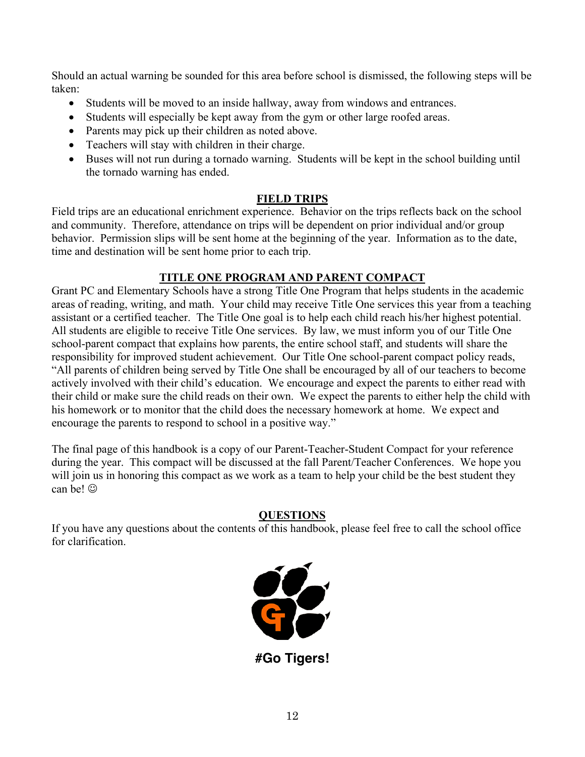Should an actual warning be sounded for this area before school is dismissed, the following steps will be taken:

- Students will be moved to an inside hallway, away from windows and entrances.
- Students will especially be kept away from the gym or other large roofed areas.
- Parents may pick up their children as noted above.
- Teachers will stay with children in their charge.
- Buses will not run during a tornado warning. Students will be kept in the school building until the tornado warning has ended.

# **FIELD TRIPS**

Field trips are an educational enrichment experience. Behavior on the trips reflects back on the school and community. Therefore, attendance on trips will be dependent on prior individual and/or group behavior. Permission slips will be sent home at the beginning of the year. Information as to the date, time and destination will be sent home prior to each trip.

# **TITLE ONE PROGRAM AND PARENT COMPACT**

Grant PC and Elementary Schools have a strong Title One Program that helps students in the academic areas of reading, writing, and math. Your child may receive Title One services this year from a teaching assistant or a certified teacher. The Title One goal is to help each child reach his/her highest potential. All students are eligible to receive Title One services.By law, we must inform you of our Title One school-parent compact that explains how parents, the entire school staff, and students will share the responsibility for improved student achievement. Our Title One school-parent compact policy reads, "All parents of children being served by Title One shall be encouraged by all of our teachers to become actively involved with their child's education. We encourage and expect the parents to either read with their child or make sure the child reads on their own. We expect the parents to either help the child with his homework or to monitor that the child does the necessary homework at home. We expect and encourage the parents to respond to school in a positive way."

The final page of this handbook is a copy of our Parent-Teacher-Student Compact for your reference during the year. This compact will be discussed at the fall Parent/Teacher Conferences. We hope you will join us in honoring this compact as we work as a team to help your child be the best student they can be!  $\odot$ 

## **QUESTIONS**

If you have any questions about the contents of this handbook, please feel free to call the school office for clarification.



**#Go Tigers!**